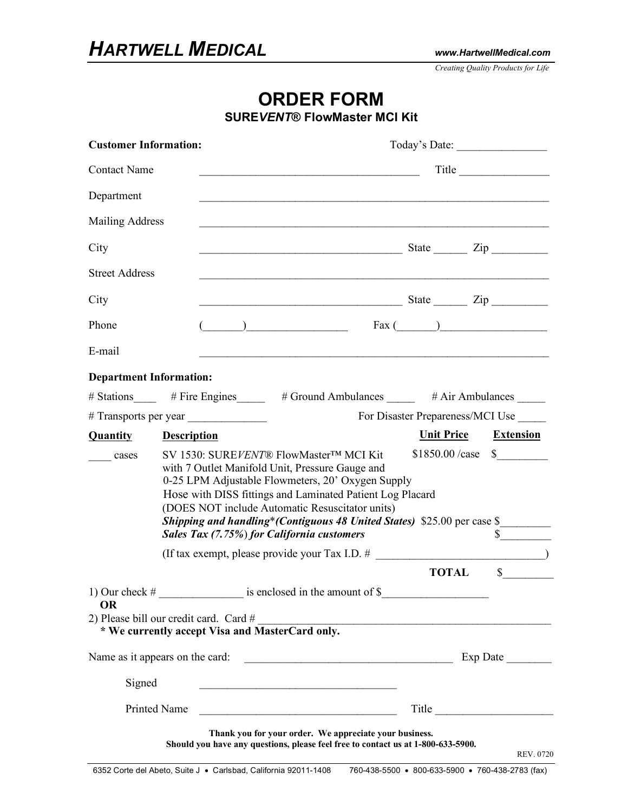*Creating Quality Products for Life*

## **ORDER FORM**

**SURE***VENT***® FlowMaster MCI Kit**

| <b>Customer Information:</b>                          |                    |                                                                                                                                                                                                                                                                                                                                                                                          |  |                                  | Today's Date:                                                                                                                                                                                                                      |
|-------------------------------------------------------|--------------------|------------------------------------------------------------------------------------------------------------------------------------------------------------------------------------------------------------------------------------------------------------------------------------------------------------------------------------------------------------------------------------------|--|----------------------------------|------------------------------------------------------------------------------------------------------------------------------------------------------------------------------------------------------------------------------------|
| <b>Contact Name</b>                                   |                    | Title<br><u> 1989 - Johann Stoff, deutscher Stoffen und der Stoffen und der Stoffen und der Stoffen und der Stoffen und der</u>                                                                                                                                                                                                                                                          |  |                                  |                                                                                                                                                                                                                                    |
| Department                                            |                    |                                                                                                                                                                                                                                                                                                                                                                                          |  |                                  |                                                                                                                                                                                                                                    |
| <b>Mailing Address</b>                                |                    |                                                                                                                                                                                                                                                                                                                                                                                          |  |                                  |                                                                                                                                                                                                                                    |
| City                                                  |                    | $State$ $\qquad \qquad \text{Zip}$                                                                                                                                                                                                                                                                                                                                                       |  |                                  |                                                                                                                                                                                                                                    |
| <b>Street Address</b>                                 |                    |                                                                                                                                                                                                                                                                                                                                                                                          |  |                                  |                                                                                                                                                                                                                                    |
| City                                                  |                    | $S$ tate $\frac{1}{\sqrt{2\pi}}$ $\frac{1}{\sqrt{2\pi}}$ $\frac{1}{\sqrt{2\pi}}$ $\frac{1}{\sqrt{2\pi}}$ $\frac{1}{\sqrt{2\pi}}$ $\frac{1}{\sqrt{2\pi}}$ $\frac{1}{\sqrt{2\pi}}$ $\frac{1}{\sqrt{2\pi}}$ $\frac{1}{\sqrt{2\pi}}$ $\frac{1}{\sqrt{2\pi}}$ $\frac{1}{\sqrt{2\pi}}$ $\frac{1}{\sqrt{2\pi}}$ $\frac{1}{\sqrt{2\pi}}$ $\frac{1}{\sqrt{2\pi}}$ $\frac$                         |  |                                  |                                                                                                                                                                                                                                    |
| Phone                                                 |                    |                                                                                                                                                                                                                                                                                                                                                                                          |  |                                  |                                                                                                                                                                                                                                    |
| E-mail                                                |                    | <u> 1989 - Johann Stoff, amerikansk politiker (* 1908)</u>                                                                                                                                                                                                                                                                                                                               |  |                                  |                                                                                                                                                                                                                                    |
| <b>Department Information:</b>                        |                    |                                                                                                                                                                                                                                                                                                                                                                                          |  |                                  |                                                                                                                                                                                                                                    |
|                                                       |                    | # Stations ______ # Fire Engines ______ # Ground Ambulances _____ # Air Ambulances _____                                                                                                                                                                                                                                                                                                 |  |                                  |                                                                                                                                                                                                                                    |
|                                                       |                    |                                                                                                                                                                                                                                                                                                                                                                                          |  | For Disaster Prepareness/MCI Use |                                                                                                                                                                                                                                    |
| <b>Quantity</b>                                       | <b>Description</b> |                                                                                                                                                                                                                                                                                                                                                                                          |  |                                  | Unit Price Extension                                                                                                                                                                                                               |
| cases                                                 |                    | SV 1530: SUREVENT® FlowMaster™ MCI Kit<br>with 7 Outlet Manifold Unit, Pressure Gauge and<br>0-25 LPM Adjustable Flowmeters, 20' Oxygen Supply<br>Hose with DISS fittings and Laminated Patient Log Placard<br>(DOES NOT include Automatic Resuscitator units)<br>Shipping and handling* (Contiguous 48 United States) \$25.00 per case \$<br>Sales Tax (7.75%) for California customers |  |                                  | $$1850.00 / case \$$                                                                                                                                                                                                               |
|                                                       |                    |                                                                                                                                                                                                                                                                                                                                                                                          |  |                                  |                                                                                                                                                                                                                                    |
| <b>OR</b><br>2) Please bill our credit card. Card $#$ |                    |                                                                                                                                                                                                                                                                                                                                                                                          |  | <b>TOTAL</b>                     | $\mathbb{S}$                                                                                                                                                                                                                       |
|                                                       |                    |                                                                                                                                                                                                                                                                                                                                                                                          |  |                                  |                                                                                                                                                                                                                                    |
|                                                       |                    |                                                                                                                                                                                                                                                                                                                                                                                          |  |                                  |                                                                                                                                                                                                                                    |
| Signed                                                |                    |                                                                                                                                                                                                                                                                                                                                                                                          |  |                                  |                                                                                                                                                                                                                                    |
| <b>Printed Name</b>                                   |                    |                                                                                                                                                                                                                                                                                                                                                                                          |  |                                  | Title <b>The Community</b> Service Service Service Service Service Service Service Service Service Service Service Service Service Service Service Service Service Service Service Service Service Service Service Service Service |
|                                                       |                    | Thank you for your order. We appreciate your business.<br>Should you have any questions, please feel free to contact us at 1-800-633-5900.                                                                                                                                                                                                                                               |  |                                  | REV. 0720                                                                                                                                                                                                                          |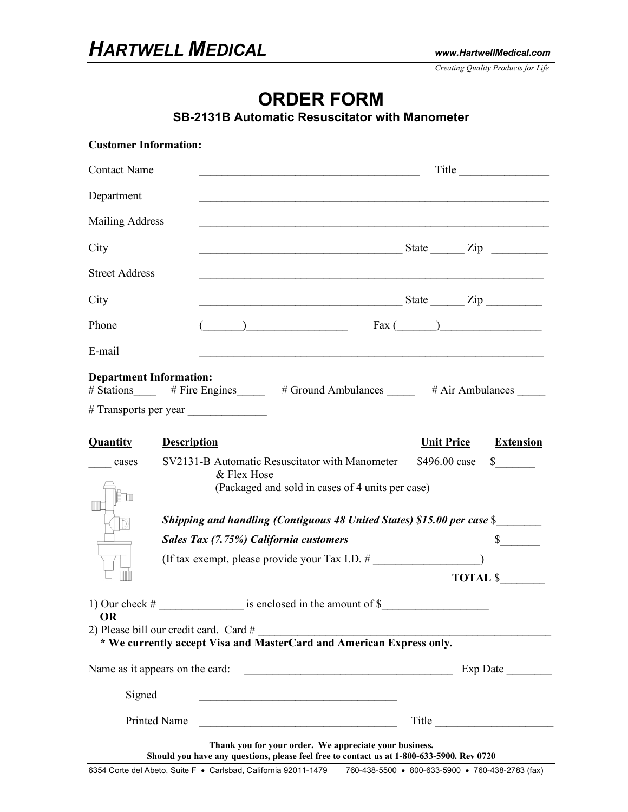*Creating Quality Products for Life*

## **ORDER FORM**

**SB-2131B Automatic Resuscitator with Manometer** 

| <b>Customer Information:</b>   |                                                                         |                                                                                                                                                                                                                                                                                                                                                                                                                                                                                                                                            |                                       |  |  |  |
|--------------------------------|-------------------------------------------------------------------------|--------------------------------------------------------------------------------------------------------------------------------------------------------------------------------------------------------------------------------------------------------------------------------------------------------------------------------------------------------------------------------------------------------------------------------------------------------------------------------------------------------------------------------------------|---------------------------------------|--|--|--|
| <b>Contact Name</b>            |                                                                         |                                                                                                                                                                                                                                                                                                                                                                                                                                                                                                                                            | Title                                 |  |  |  |
| Department                     |                                                                         |                                                                                                                                                                                                                                                                                                                                                                                                                                                                                                                                            |                                       |  |  |  |
| <b>Mailing Address</b>         |                                                                         |                                                                                                                                                                                                                                                                                                                                                                                                                                                                                                                                            |                                       |  |  |  |
| City                           |                                                                         |                                                                                                                                                                                                                                                                                                                                                                                                                                                                                                                                            |                                       |  |  |  |
| <b>Street Address</b>          |                                                                         | <u> 1980 - Jan James Santan (j. 1980)</u>                                                                                                                                                                                                                                                                                                                                                                                                                                                                                                  |                                       |  |  |  |
| City                           |                                                                         | $\frac{1}{2}$ State $\frac{1}{2}$ $\frac{1}{2}$ $\frac{1}{2}$ $\frac{1}{2}$ $\frac{1}{2}$ $\frac{1}{2}$ $\frac{1}{2}$ $\frac{1}{2}$ $\frac{1}{2}$ $\frac{1}{2}$ $\frac{1}{2}$ $\frac{1}{2}$ $\frac{1}{2}$ $\frac{1}{2}$ $\frac{1}{2}$ $\frac{1}{2}$ $\frac{1}{2}$ $\frac{1}{2}$ $\frac{1}{2}$ $\frac{1}{2}$ $\frac{1$                                                                                                                                                                                                                      |                                       |  |  |  |
| Phone                          |                                                                         | $\left(\begin{array}{c c} \begin{array}{c} \hline \end{array} & \begin{array}{c} \hline \end{array} & \begin{array}{c} \hline \end{array} & \begin{array}{c} \hline \end{array} & \begin{array}{c} \hline \end{array} & \begin{array}{c} \hline \end{array} & \begin{array}{c} \hline \end{array} & \begin{array}{c} \hline \end{array} & \begin{array}{c} \hline \end{array} & \begin{array}{c} \hline \end{array} & \begin{array}{c} \hline \end{array} & \begin{array}{c} \hline \end{array} & \begin{array}{c} \hline \end{array} & \$ |                                       |  |  |  |
| E-mail                         |                                                                         |                                                                                                                                                                                                                                                                                                                                                                                                                                                                                                                                            |                                       |  |  |  |
| <b>Department Information:</b> |                                                                         | # Stations _____ # Fire Engines _____ # Ground Ambulances _____ # Air Ambulances ____                                                                                                                                                                                                                                                                                                                                                                                                                                                      |                                       |  |  |  |
| <b>Quantity</b>                | <b>Description</b>                                                      |                                                                                                                                                                                                                                                                                                                                                                                                                                                                                                                                            | <b>Unit Price</b><br><b>Extension</b> |  |  |  |
| cases<br>Ìh                    |                                                                         | SV2131-B Automatic Resuscitator with Manometer<br>\$496.00 case<br>$\mathbb{S}$<br>& Flex Hose<br>(Packaged and sold in cases of 4 units per case)                                                                                                                                                                                                                                                                                                                                                                                         |                                       |  |  |  |
|                                | Shipping and handling (Contiguous 48 United States) \$15.00 per case \$ |                                                                                                                                                                                                                                                                                                                                                                                                                                                                                                                                            |                                       |  |  |  |
|                                |                                                                         | Sales Tax (7.75%) California customers                                                                                                                                                                                                                                                                                                                                                                                                                                                                                                     |                                       |  |  |  |
|                                |                                                                         | (If tax exempt, please provide your Tax I.D. #                                                                                                                                                                                                                                                                                                                                                                                                                                                                                             | <b>TOTAL \$</b>                       |  |  |  |
| 1) Our check $#$<br><b>OR</b>  | is enclosed in the amount of \$                                         |                                                                                                                                                                                                                                                                                                                                                                                                                                                                                                                                            |                                       |  |  |  |
|                                | 2) Please bill our credit card. Card #                                  | * We currently accept Visa and MasterCard and American Express only.                                                                                                                                                                                                                                                                                                                                                                                                                                                                       |                                       |  |  |  |
|                                | Name as it appears on the card:                                         | <u> 1980 - Johann Barn, mars ann an t-Amhain ann an t-Amhain an t-Amhain ann an t-Amhain an t-Amhain ann an t-A</u>                                                                                                                                                                                                                                                                                                                                                                                                                        | Exp Date                              |  |  |  |
| Signed                         |                                                                         |                                                                                                                                                                                                                                                                                                                                                                                                                                                                                                                                            |                                       |  |  |  |
| <b>Printed Name</b>            |                                                                         |                                                                                                                                                                                                                                                                                                                                                                                                                                                                                                                                            | Title                                 |  |  |  |
|                                |                                                                         | Thank you for your order. We appreciate your business.<br>Should you have any questions, please feel free to contact us at 1-800-633-5900. Rev 0720                                                                                                                                                                                                                                                                                                                                                                                        |                                       |  |  |  |